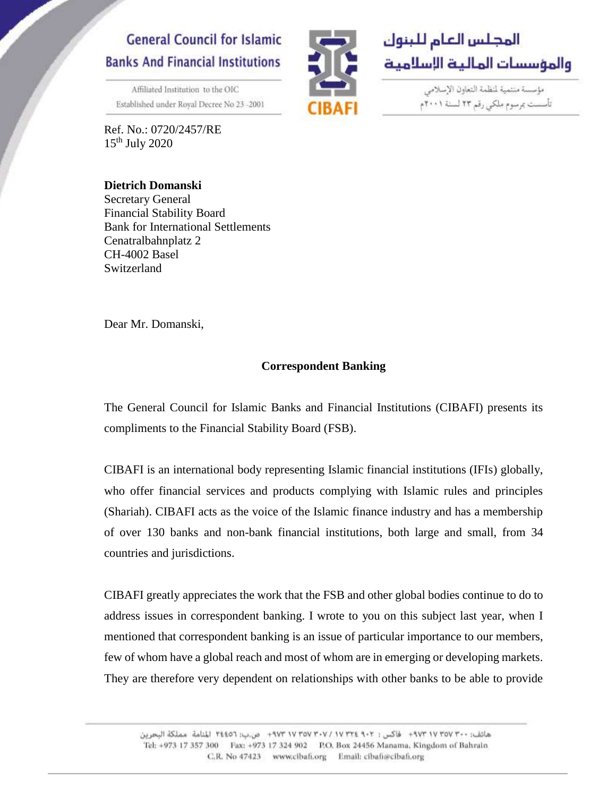# **General Council for Islamic Banks And Financial Institutions**

Affiliated Institution to the OIC Established under Royal Decree No 23 -2001

Ref. No.: 0720/2457/RE  $15<sup>th</sup>$  July 2020



مؤسسة منتمية لمنظمة التعاون الإسلامي تأسست بمرسوم ملكي رقم ٢٣ لسنة ٢٠٠١م

**Dietrich Domanski** Secretary General Financial Stability Board Bank for International Settlements Cenatralbahnplatz 2 CH-4002 Basel Switzerland

Dear Mr. Domanski,

### **Correspondent Banking**

The General Council for Islamic Banks and Financial Institutions (CIBAFI) presents its compliments to the Financial Stability Board (FSB).

CIBAFI is an international body representing Islamic financial institutions (IFIs) globally, who offer financial services and products complying with Islamic rules and principles (Shariah). CIBAFI acts as the voice of the Islamic finance industry and has a membership of over 130 banks and non-bank financial institutions, both large and small, from 34 countries and jurisdictions.

CIBAFI greatly appreciates the work that the FSB and other global bodies continue to do to address issues in correspondent banking. I wrote to you on this subject last year, when I mentioned that correspondent banking is an issue of particular importance to our members, few of whom have a global reach and most of whom are in emerging or developing markets. They are therefore very dependent on relationships with other banks to be able to provide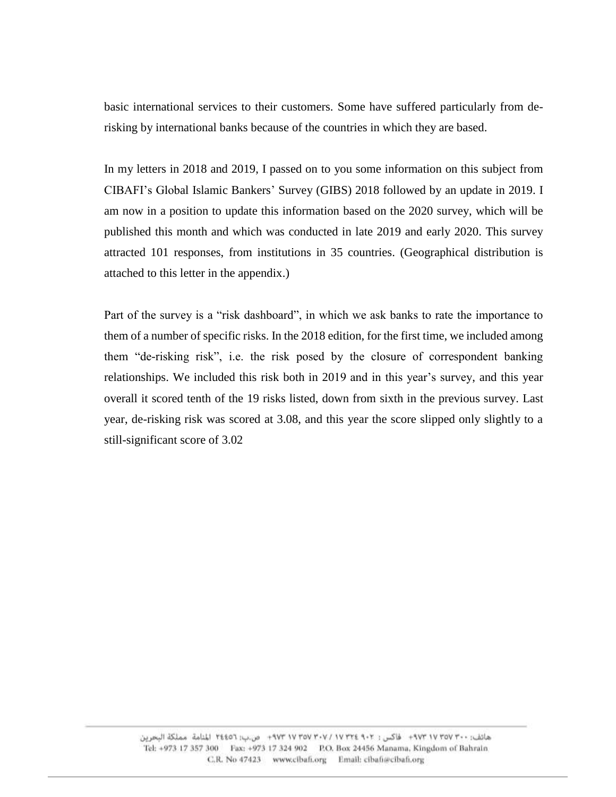basic international services to their customers. Some have suffered particularly from derisking by international banks because of the countries in which they are based.

In my letters in 2018 and 2019, I passed on to you some information on this subject from CIBAFI's Global Islamic Bankers' Survey (GIBS) 2018 followed by an update in 2019. I am now in a position to update this information based on the 2020 survey, which will be published this month and which was conducted in late 2019 and early 2020. This survey attracted 101 responses, from institutions in 35 countries. (Geographical distribution is attached to this letter in the appendix.)

Part of the survey is a "risk dashboard", in which we ask banks to rate the importance to them of a number of specific risks. In the 2018 edition, for the first time, we included among them "de-risking risk", i.e. the risk posed by the closure of correspondent banking relationships. We included this risk both in 2019 and in this year's survey, and this year overall it scored tenth of the 19 risks listed, down from sixth in the previous survey. Last year, de-risking risk was scored at 3.08, and this year the score slipped only slightly to a still-significant score of 3.02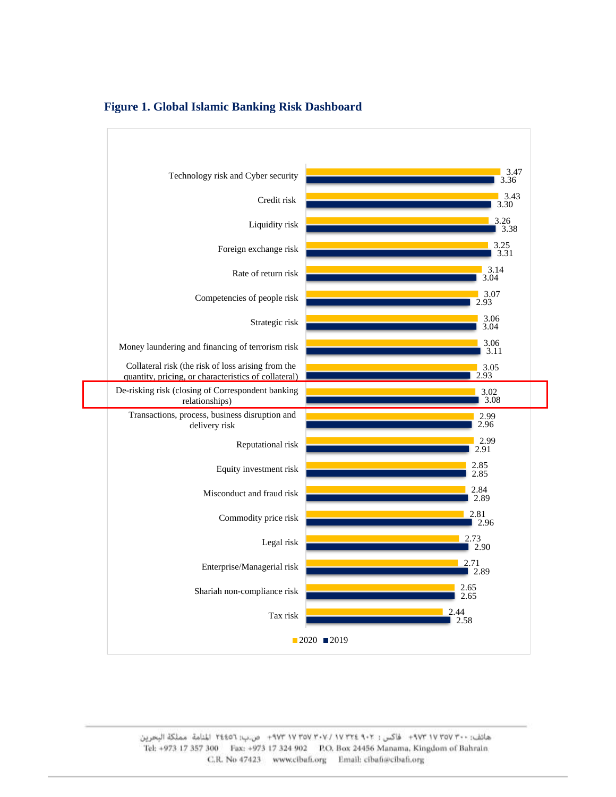

#### **Figure 1. Global Islamic Banking Risk Dashboard**

هاتف: ٠٠-٢٧ ٩٧٣ + ٩٧٣ + ظاكس : ٢٠٢- ٢٧٣ × ٢٧٧ + ٢٧٣ + ٣٧٣ + ص.ب: ٢٤٤٥٦ المنامة مملكة البحرين Tel: +973 17 357 300 Fax: +973 17 324 902 P.O. Box 24456 Manama, Kingdom of Bahrain C.R. No 47423 www.cibafi.org Email: cibafi@cibafi.org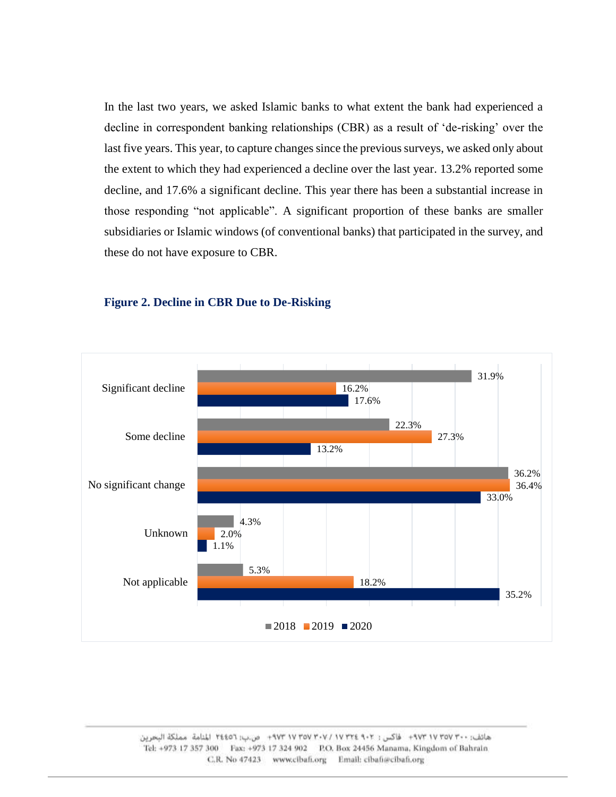In the last two years, we asked Islamic banks to what extent the bank had experienced a decline in correspondent banking relationships (CBR) as a result of 'de-risking' over the last five years. This year, to capture changes since the previous surveys, we asked only about the extent to which they had experienced a decline over the last year. 13.2% reported some decline, and 17.6% a significant decline. This year there has been a substantial increase in those responding "not applicable". A significant proportion of these banks are smaller subsidiaries or Islamic windows (of conventional banks) that participated in the survey, and these do not have exposure to CBR.



#### **Figure 2. Decline in CBR Due to De-Risking**

هاتف: ١٠٢-١٧ ٢٥٧ ٩٧٣ - فاكس: ٢٠٢-١٧ ٢٣٤٩ ٧٧ ٣٥٧ ٢٠٧٣ - ص:ب: ٢٤٤٥٦ المنامة مملكة البحرين Tel: +973 17 357 300 Fax: +973 17 324 902 P.O. Box 24456 Manama, Kingdom of Bahrain C.R. No 47423 www.cibafi.org Email: cibafi@cibafi.org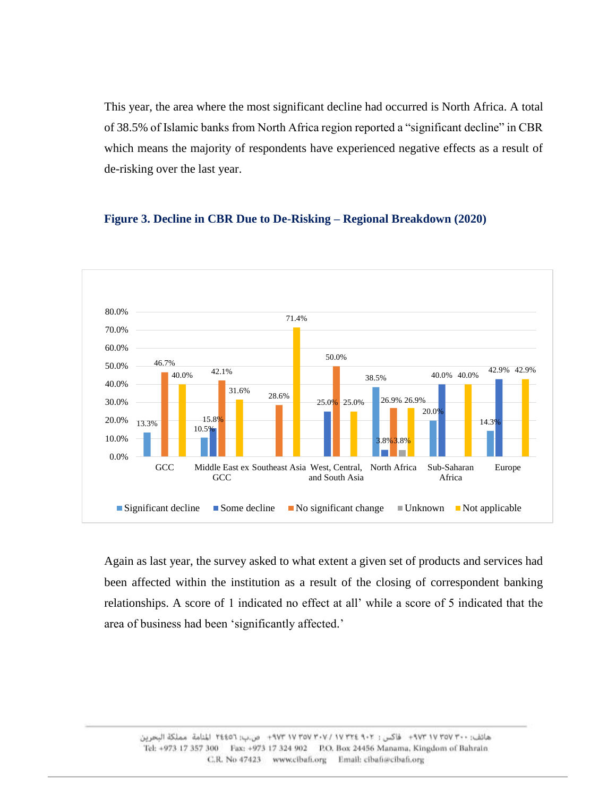This year, the area where the most significant decline had occurred is North Africa. A total of 38.5% of Islamic banks from North Africa region reported a "significant decline" in CBR which means the majority of respondents have experienced negative effects as a result of de-risking over the last year.

#### 13.3% 10.5% 38.5% 20.0% 15.8% 14.3% 25.0% 25.0% 3.8% 40.0% 40.0% 42.9% 42.9% 46.7% 42.1% 28.6% 50.0% 26.9% 25.0% 26.9% 3.8% 40.0% 31.6% 71.4% 0.0% 10.0% 20.0% 30.0% 40.0% 50.0% 60.0% 70.0% 80.0% GCC Middle East ex Southeast Asia West, Central, GC<sub>C</sub> and South Asia Sub-Saharan Africa Europe  $\Box$  Significant decline  $\Box$  Some decline  $\Box$  No significant change  $\Box$  Unknown  $\Box$  Not applicable

#### **Figure 3. Decline in CBR Due to De-Risking – Regional Breakdown (2020)**

Again as last year, the survey asked to what extent a given set of products and services had been affected within the institution as a result of the closing of correspondent banking relationships. A score of 1 indicated no effect at all' while a score of 5 indicated that the area of business had been 'significantly affected.'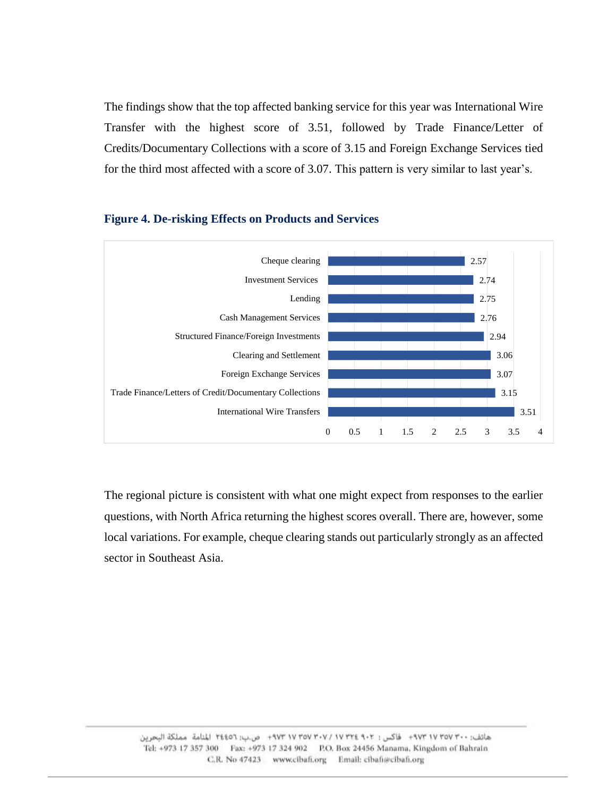The findings show that the top affected banking service for this year was International Wire Transfer with the highest score of 3.51, followed by Trade Finance/Letter of Credits/Documentary Collections with a score of 3.15 and Foreign Exchange Services tied for the third most affected with a score of 3.07. This pattern is very similar to last year's.



#### **Figure 4. De-risking Effects on Products and Services**

The regional picture is consistent with what one might expect from responses to the earlier questions, with North Africa returning the highest scores overall. There are, however, some local variations. For example, cheque clearing stands out particularly strongly as an affected sector in Southeast Asia.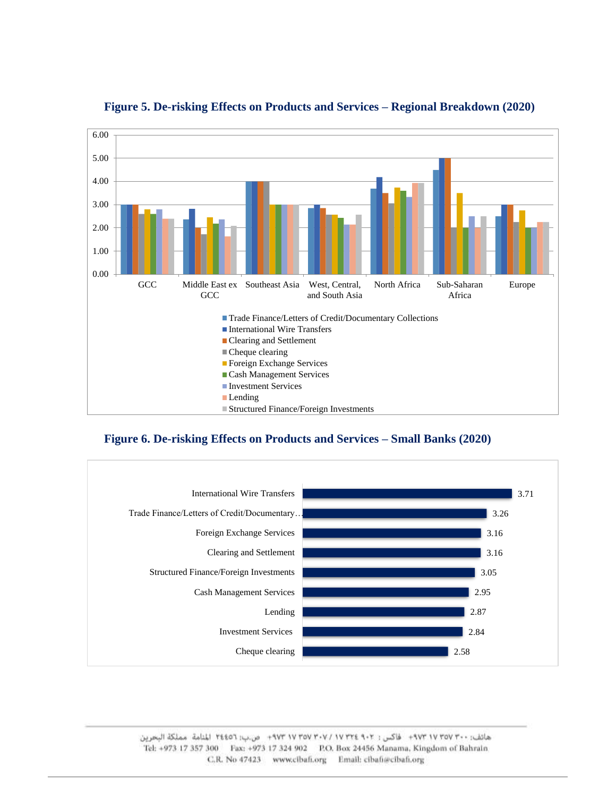

### **Figure 5. De-risking Effects on Products and Services – Regional Breakdown (2020)**

#### **Figure 6. De-risking Effects on Products and Services – Small Banks (2020)**

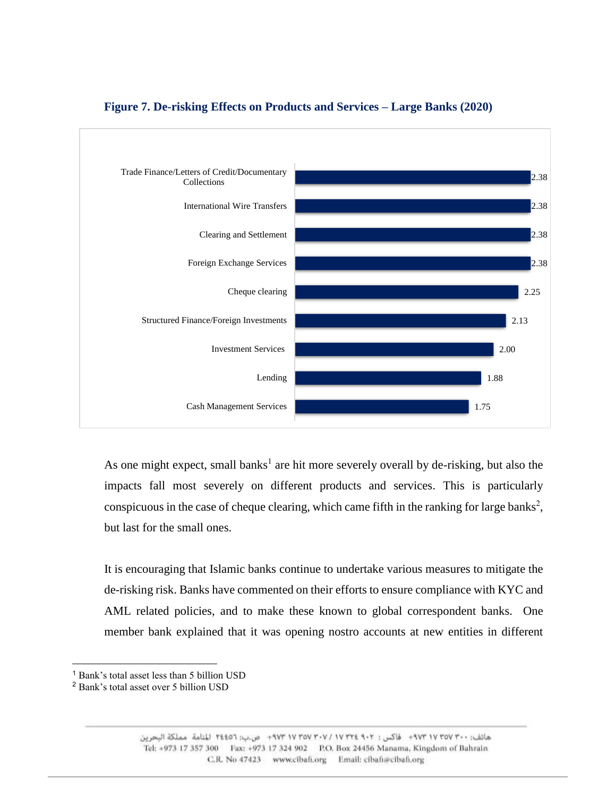

#### **Figure 7. De-risking Effects on Products and Services – Large Banks (2020)**

As one might expect, small banks<sup>1</sup> are hit more severely overall by de-risking, but also the impacts fall most severely on different products and services. This is particularly conspicuous in the case of cheque clearing, which came fifth in the ranking for large banks<sup>2</sup>, but last for the small ones.

It is encouraging that Islamic banks continue to undertake various measures to mitigate the de-risking risk. Banks have commented on their efforts to ensure compliance with KYC and AML related policies, and to make these known to global correspondent banks. One member bank explained that it was opening nostro accounts at new entities in different

 $\overline{a}$ 

<sup>1</sup> Bank's total asset less than 5 billion USD

<sup>2</sup> Bank's total asset over 5 billion USD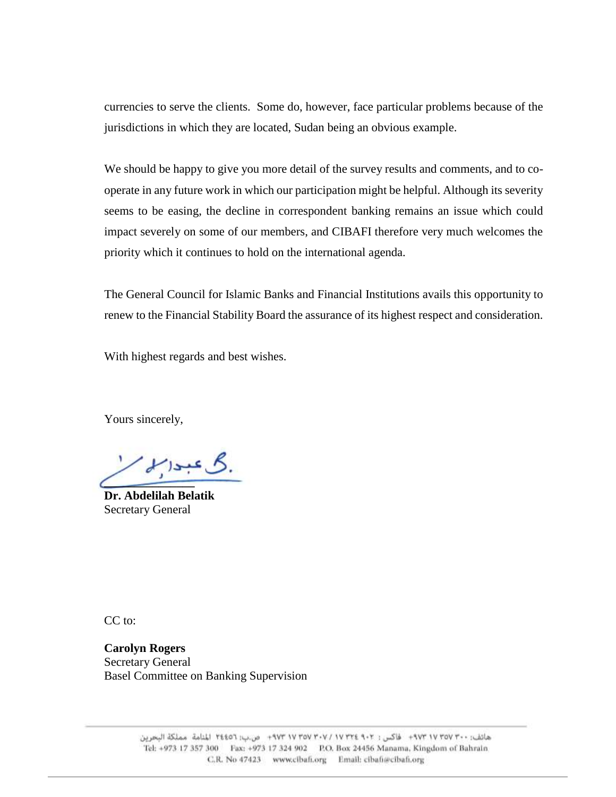currencies to serve the clients. Some do, however, face particular problems because of the jurisdictions in which they are located, Sudan being an obvious example.

We should be happy to give you more detail of the survey results and comments, and to cooperate in any future work in which our participation might be helpful. Although its severity seems to be easing, the decline in correspondent banking remains an issue which could impact severely on some of our members, and CIBAFI therefore very much welcomes the priority which it continues to hold on the international agenda.

The General Council for Islamic Banks and Financial Institutions avails this opportunity to renew to the Financial Stability Board the assurance of its highest respect and consideration.

With highest regards and best wishes.

Yours sincerely,

 $213.56$ **\_\_\_\_\_\_\_\_\_\_\_\_\_\_\_**

**Dr. Abdelilah Belatik** Secretary General

CC to:

**Carolyn Rogers** Secretary General Basel Committee on Banking Supervision